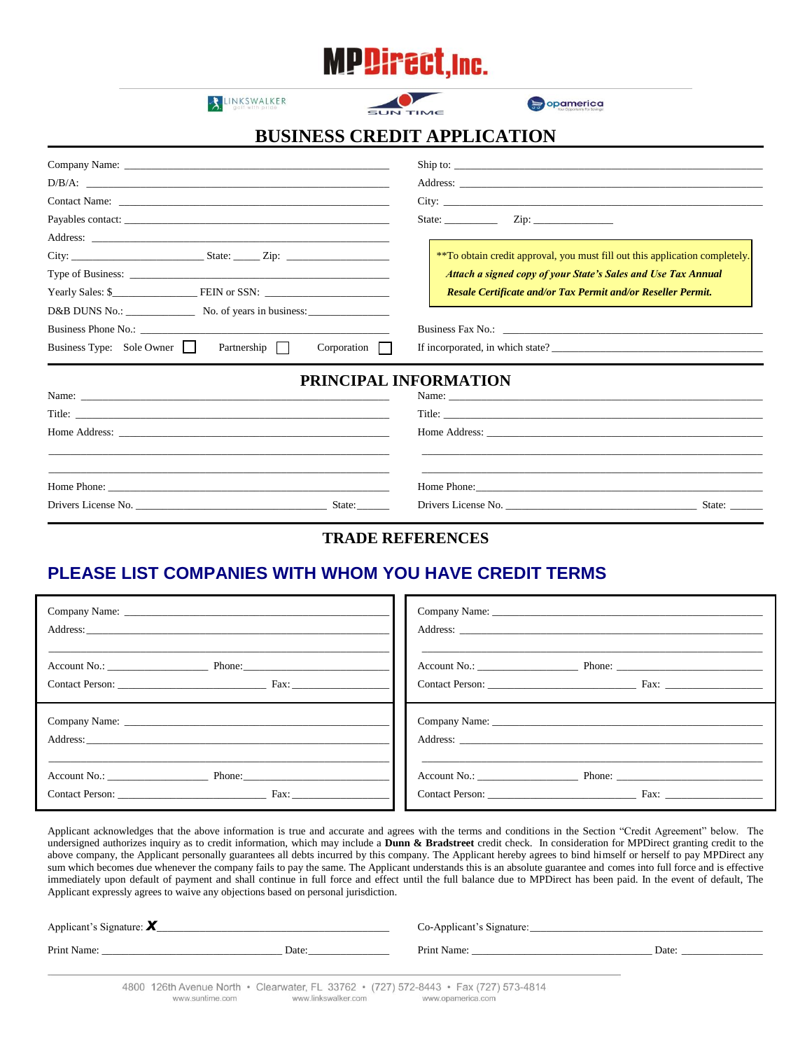# **MPDirect, Inc.**

LINKSWALKER



opamerica

## **BUSINESS CREDIT APPLICATION**

|                                                             | Ship to:                                                                                                                                                                                                                       |
|-------------------------------------------------------------|--------------------------------------------------------------------------------------------------------------------------------------------------------------------------------------------------------------------------------|
|                                                             |                                                                                                                                                                                                                                |
|                                                             |                                                                                                                                                                                                                                |
|                                                             | State: $\qquad \qquad \text{Zip:} \qquad \qquad \text{---}$                                                                                                                                                                    |
|                                                             |                                                                                                                                                                                                                                |
|                                                             | ** To obtain credit approval, you must fill out this application completely.                                                                                                                                                   |
|                                                             | <b>Attach a signed copy of your State's Sales and Use Tax Annual</b>                                                                                                                                                           |
| Yearly Sales: \$                                            | Resale Certificate and/or Tax Permit and/or Reseller Permit.                                                                                                                                                                   |
|                                                             |                                                                                                                                                                                                                                |
|                                                             |                                                                                                                                                                                                                                |
| Business Type: Sole Owner<br>Partnership    <br>Corporation |                                                                                                                                                                                                                                |
| PRINCIPAL INFORMATION                                       |                                                                                                                                                                                                                                |
|                                                             |                                                                                                                                                                                                                                |
|                                                             |                                                                                                                                                                                                                                |
|                                                             | Home Address: New York Contract the Contract of the Contract of the Contract of the Contract of the Contract of the Contract of the Contract of the Contract of the Contract of the Contract of the Contract of the Contract o |
|                                                             |                                                                                                                                                                                                                                |
|                                                             |                                                                                                                                                                                                                                |
|                                                             | State: $\qquad \qquad$                                                                                                                                                                                                         |

#### **TRADE REFERENCES**

### **PLEASE LIST COMPANIES WITH WHOM YOU HAVE CREDIT TERMS**

| Contact Person: Fax:       |                      |
|----------------------------|----------------------|
|                            |                      |
|                            |                      |
| Account No.: Phone: Phone: |                      |
| Contact Person: Fax:       | Contact Person: Fax: |

Applicant acknowledges that the above information is true and accurate and agrees with the terms and conditions in the Section "Credit Agreement" below. The undersigned authorizes inquiry as to credit information, which may include a **Dunn & Bradstreet** credit check. In consideration for MPDirect granting credit to the above company, the Applicant personally guarantees all debts incurred by this company. The Applicant hereby agrees to bind himself or herself to pay MPDirect any sum which becomes due whenever the company fails to pay the same. The Applicant understands this is an absolute guarantee and comes into full force and is effective immediately upon default of payment and shall continue in full force and effect until the full balance due to MPDirect has been paid. In the event of default, The Applicant expressly agrees to waive any objections based on personal jurisdiction.

| Applicant's Signature: $\mathbf{X}$ |       | Co-Applicant's Signature: |       |
|-------------------------------------|-------|---------------------------|-------|
| Print Name:                         | Date: | Print Name:               | Date: |
|                                     |       |                           |       |